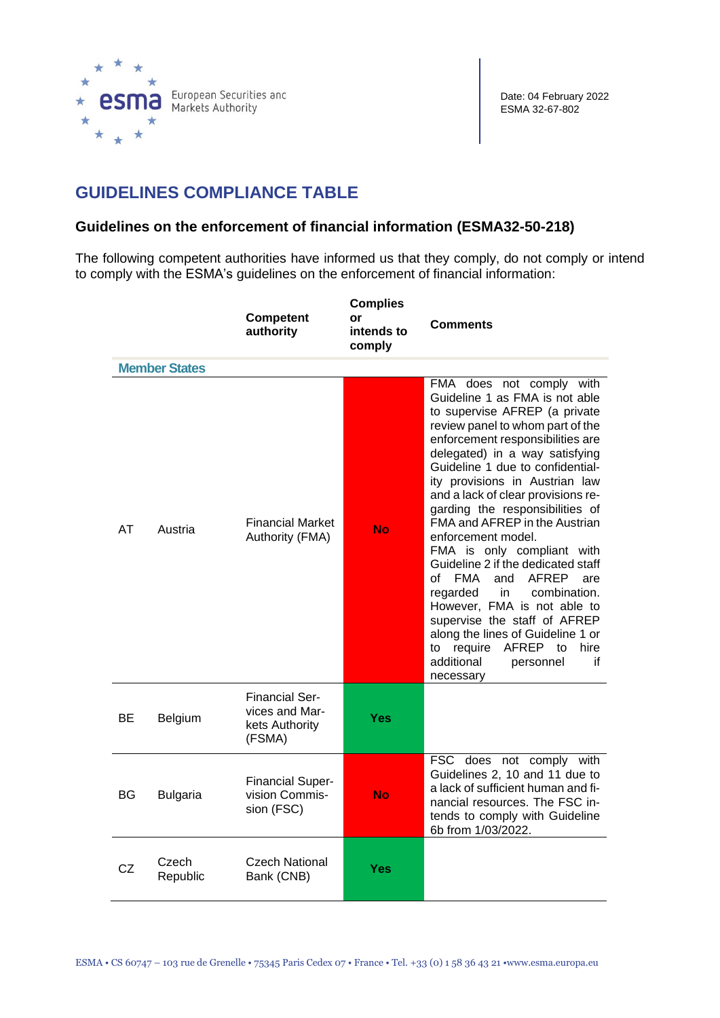

## **GUIDELINES COMPLIANCE TABLE**

## **Guidelines on the enforcement of financial information (ESMA32-50-218)**

The following competent authorities have informed us that they comply, do not comply or intend to comply with the ESMA's guidelines on the enforcement of financial information:

|    |                      | <b>Competent</b><br>authority                                       | <b>Complies</b><br>or<br>intends to<br>comply | <b>Comments</b>                                                                                                                                                                                                                                                                                                                                                                                                                                                                                                                                                                                                                                                                                                                                      |
|----|----------------------|---------------------------------------------------------------------|-----------------------------------------------|------------------------------------------------------------------------------------------------------------------------------------------------------------------------------------------------------------------------------------------------------------------------------------------------------------------------------------------------------------------------------------------------------------------------------------------------------------------------------------------------------------------------------------------------------------------------------------------------------------------------------------------------------------------------------------------------------------------------------------------------------|
|    | <b>Member States</b> |                                                                     |                                               |                                                                                                                                                                                                                                                                                                                                                                                                                                                                                                                                                                                                                                                                                                                                                      |
| AT | Austria              | <b>Financial Market</b><br>Authority (FMA)                          | No                                            | FMA does not comply with<br>Guideline 1 as FMA is not able<br>to supervise AFREP (a private<br>review panel to whom part of the<br>enforcement responsibilities are<br>delegated) in a way satisfying<br>Guideline 1 due to confidential-<br>ity provisions in Austrian law<br>and a lack of clear provisions re-<br>garding the responsibilities of<br>FMA and AFREP in the Austrian<br>enforcement model.<br>FMA is only compliant with<br>Guideline 2 if the dedicated staff<br><b>FMA</b><br>AFREP<br>of<br>and<br>are<br>regarded<br>combination.<br>in.<br>However, FMA is not able to<br>supervise the staff of AFREP<br>along the lines of Guideline 1 or<br>AFREP to<br>require<br>hire<br>to<br>additional<br>if<br>personnel<br>necessary |
| ВE | Belgium              | <b>Financial Ser-</b><br>vices and Mar-<br>kets Authority<br>(FSMA) | <b>Yes</b>                                    |                                                                                                                                                                                                                                                                                                                                                                                                                                                                                                                                                                                                                                                                                                                                                      |
| BG | <b>Bulgaria</b>      | <b>Financial Super-</b><br>vision Commis-<br>sion (FSC)             | <b>No</b>                                     | FSC does not comply with<br>Guidelines 2, 10 and 11 due to<br>a lack of sufficient human and fi-<br>nancial resources. The FSC in-<br>tends to comply with Guideline<br>6b from 1/03/2022.                                                                                                                                                                                                                                                                                                                                                                                                                                                                                                                                                           |
| CZ | Czech<br>Republic    | Czech National<br>Bank (CNB)                                        | Yes                                           |                                                                                                                                                                                                                                                                                                                                                                                                                                                                                                                                                                                                                                                                                                                                                      |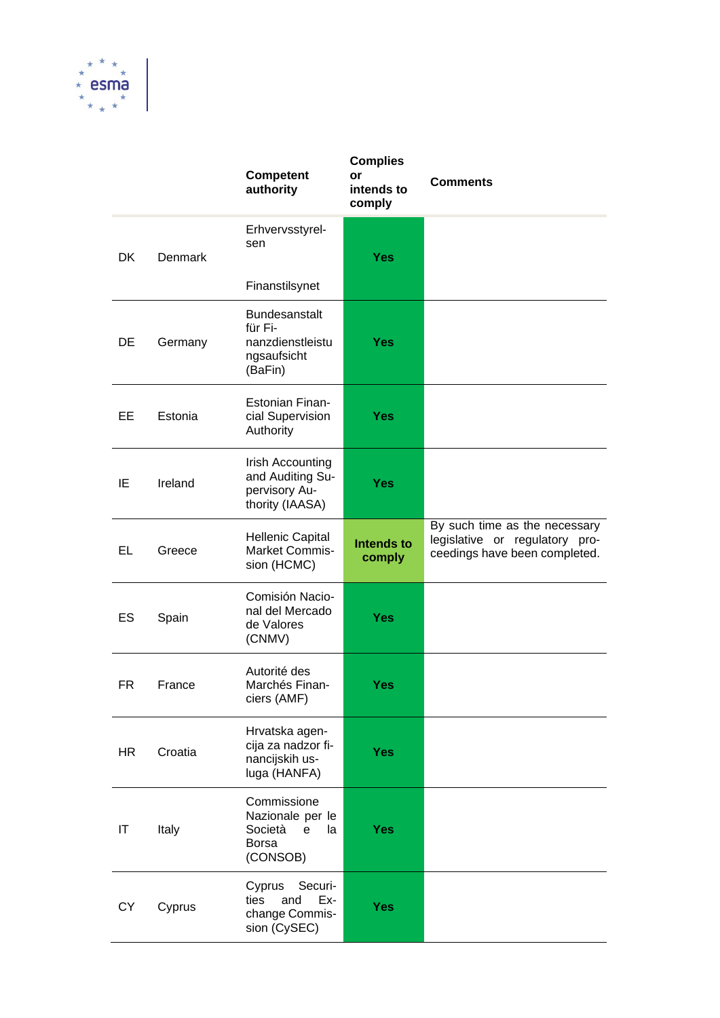

|           |         | <b>Competent</b><br>authority                                                               | <b>Complies</b><br>or<br>intends to<br>comply | <b>Comments</b>                                                                                  |
|-----------|---------|---------------------------------------------------------------------------------------------|-----------------------------------------------|--------------------------------------------------------------------------------------------------|
| <b>DK</b> | Denmark | Erhvervsstyrel-<br>sen                                                                      | <b>Yes</b>                                    |                                                                                                  |
|           |         | Finanstilsynet                                                                              |                                               |                                                                                                  |
| DE        | Germany | <b>Bundesanstalt</b><br>für Fi-<br>nanzdienstleistu<br>ngsaufsicht<br>(BaFin)               | <b>Yes</b>                                    |                                                                                                  |
| EE        | Estonia | <b>Estonian Finan-</b><br>cial Supervision<br>Authority                                     | <b>Yes</b>                                    |                                                                                                  |
| IE        | Ireland | Irish Accounting<br>and Auditing Su-<br>pervisory Au-<br>thority (IAASA)                    | <b>Yes</b>                                    |                                                                                                  |
| EL        | Greece  | <b>Hellenic Capital</b><br>Market Commis-<br>sion (HCMC)                                    | <b>Intends to</b><br>comply                   | By such time as the necessary<br>legislative or regulatory pro-<br>ceedings have been completed. |
| ES        | Spain   | Comisión Nacio-<br>nal del Mercado<br>de Valores<br>(CNMV)                                  | <b>Yes</b>                                    |                                                                                                  |
| FR        | France  | Autorité des<br>Marchés Finan-<br>ciers (AMF)                                               | <b>Yes</b>                                    |                                                                                                  |
| HR.       | Croatia | Hrvatska agen-<br>cija za nadzor fi-<br>nancijskih us-<br>luga (HANFA)                      | <b>Yes</b>                                    |                                                                                                  |
| IT        | Italy   | Commissione<br>Nazionale per le<br>Società<br>$\mathbf e$<br>la<br><b>Borsa</b><br>(CONSOB) | <b>Yes</b>                                    |                                                                                                  |
| <b>CY</b> | Cyprus  | Cyprus<br>Securi-<br>ties<br>and<br>Ex-<br>change Commis-<br>sion (CySEC)                   | <b>Yes</b>                                    |                                                                                                  |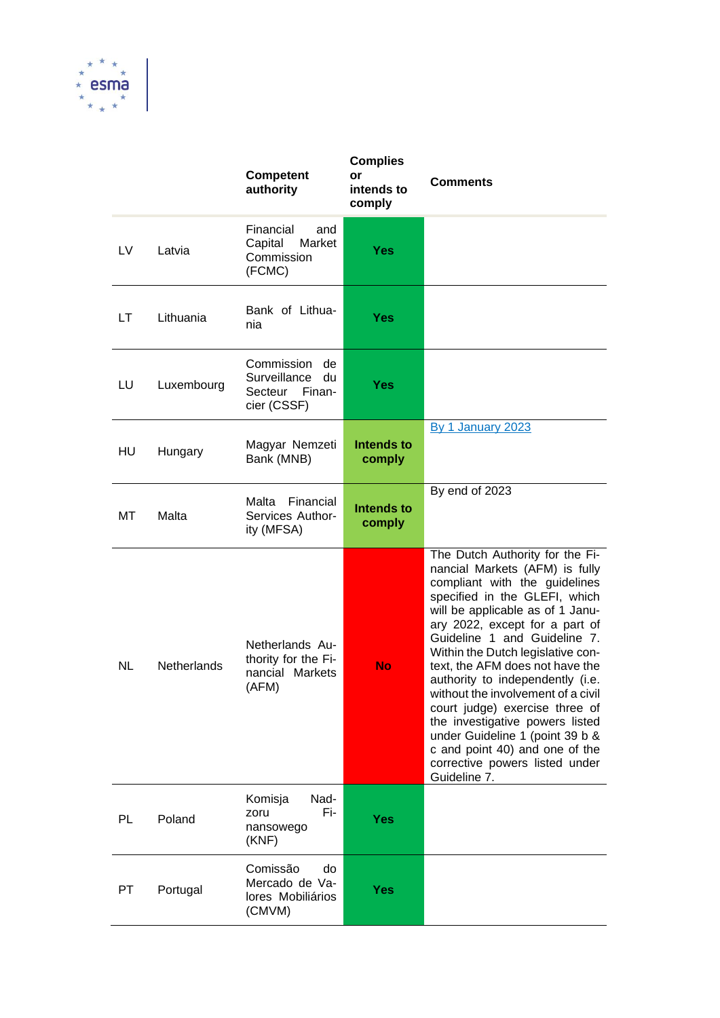

|     |                    | <b>Competent</b><br>authority                                              | <b>Complies</b><br>or<br>intends to<br>comply | <b>Comments</b>                                                                                                                                                                                                                                                                                                                                                                                                                                                                                                                                                                         |
|-----|--------------------|----------------------------------------------------------------------------|-----------------------------------------------|-----------------------------------------------------------------------------------------------------------------------------------------------------------------------------------------------------------------------------------------------------------------------------------------------------------------------------------------------------------------------------------------------------------------------------------------------------------------------------------------------------------------------------------------------------------------------------------------|
| LV. | Latvia             | Financial<br>and<br>Capital<br>Market<br>Commission<br>(FCMC)              | <b>Yes</b>                                    |                                                                                                                                                                                                                                                                                                                                                                                                                                                                                                                                                                                         |
| LT  | Lithuania          | Bank of Lithua-<br>nia                                                     | <b>Yes</b>                                    |                                                                                                                                                                                                                                                                                                                                                                                                                                                                                                                                                                                         |
| LU  | Luxembourg         | Commission<br>de<br>Surveillance<br>du<br>Secteur<br>Finan-<br>cier (CSSF) | <b>Yes</b>                                    |                                                                                                                                                                                                                                                                                                                                                                                                                                                                                                                                                                                         |
| HU  | Hungary            | Magyar Nemzeti<br>Bank (MNB)                                               | Intends to<br>comply                          | By 1 January 2023                                                                                                                                                                                                                                                                                                                                                                                                                                                                                                                                                                       |
| МT  | Malta              | Malta<br>Financial<br>Services Author-<br>ity (MFSA)                       | <b>Intends to</b><br>comply                   | By end of 2023                                                                                                                                                                                                                                                                                                                                                                                                                                                                                                                                                                          |
| NL  | <b>Netherlands</b> | Netherlands Au-<br>thority for the Fi-<br>nancial Markets<br>(AFM)         | <b>No</b>                                     | The Dutch Authority for the Fi-<br>nancial Markets (AFM) is fully<br>compliant with the guidelines<br>specified in the GLEFI, which<br>will be applicable as of 1 Janu-<br>ary 2022, except for a part of<br>Guideline 1 and Guideline 7.<br>Within the Dutch legislative con-<br>text, the AFM does not have the<br>authority to independently (i.e.<br>without the involvement of a civil<br>court judge) exercise three of<br>the investigative powers listed<br>under Guideline 1 (point 39 b &<br>c and point 40) and one of the<br>corrective powers listed under<br>Guideline 7. |
| PL  | Poland             | Nad-<br>Komisja<br>Fi-<br>zoru<br>nansowego<br>(KNF)                       | <b>Yes</b>                                    |                                                                                                                                                                                                                                                                                                                                                                                                                                                                                                                                                                                         |
| PT. | Portugal           | Comissão<br>do<br>Mercado de Va-<br>lores Mobiliários<br>(CMVM)            | <b>Yes</b>                                    |                                                                                                                                                                                                                                                                                                                                                                                                                                                                                                                                                                                         |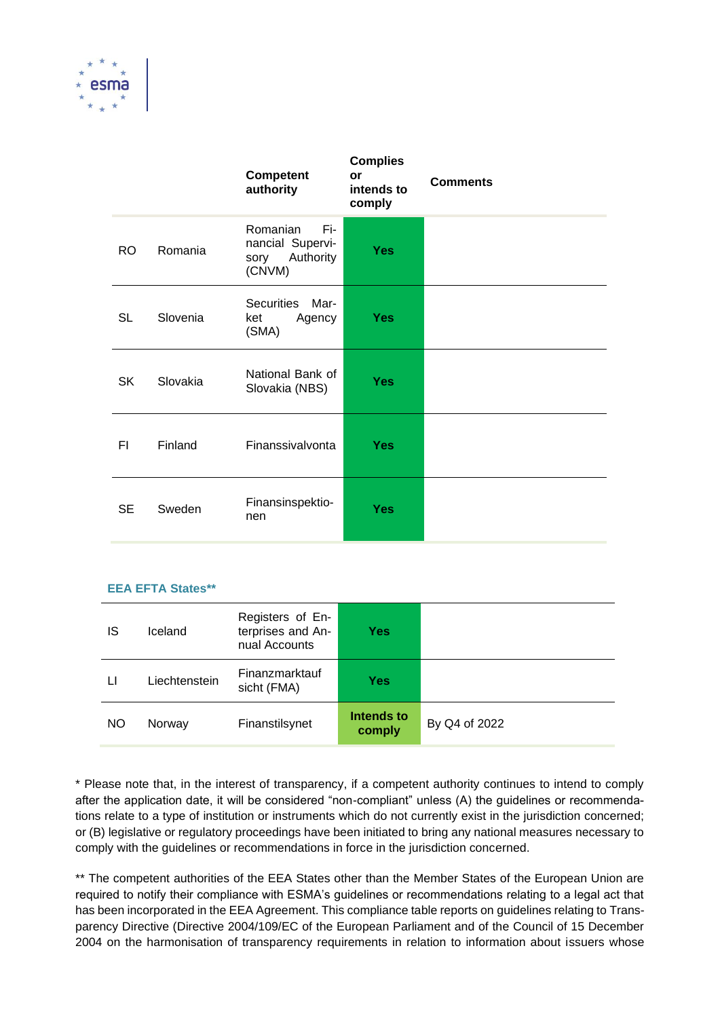

|           |          | Competent<br>authority                                             | <b>Complies</b><br>or<br>intends to<br>comply | <b>Comments</b> |
|-----------|----------|--------------------------------------------------------------------|-----------------------------------------------|-----------------|
| RO        | Romania  | Romanian<br>Fi-<br>nancial Supervi-<br>Authority<br>sory<br>(CNVM) | <b>Yes</b>                                    |                 |
| <b>SL</b> | Slovenia | Securities Mar-<br>ket<br>Agency<br>(SMA)                          | <b>Yes</b>                                    |                 |
| SK        | Slovakia | National Bank of<br>Slovakia (NBS)                                 | <b>Yes</b>                                    |                 |
| FI.       | Finland  | Finanssivalvonta                                                   | <b>Yes</b>                                    |                 |
| <b>SE</b> | Sweden   | Finansinspektio-<br>nen                                            | <b>Yes</b>                                    |                 |

## **EEA EFTA States\*\***

| IS | Iceland       | Registers of En-<br>terprises and An-<br>nual Accounts | Yes                  |               |
|----|---------------|--------------------------------------------------------|----------------------|---------------|
| Ħ  | Liechtenstein | Finanzmarktauf<br>sicht (FMA)                          | Yes                  |               |
| NO | Norway        | Finanstilsynet                                         | Intends to<br>comply | By Q4 of 2022 |

\* Please note that, in the interest of transparency, if a competent authority continues to intend to comply after the application date, it will be considered "non-compliant" unless (A) the guidelines or recommendations relate to a type of institution or instruments which do not currently exist in the jurisdiction concerned; or (B) legislative or regulatory proceedings have been initiated to bring any national measures necessary to comply with the guidelines or recommendations in force in the jurisdiction concerned.

\*\* The competent authorities of the EEA States other than the Member States of the European Union are required to notify their compliance with ESMA's guidelines or recommendations relating to a legal act that has been incorporated in the EEA Agreement. This compliance table reports on guidelines relating to Transparency Directive (Directive 2004/109/EC of the European Parliament and of the Council of 15 December 2004 on the harmonisation of transparency requirements in relation to information about issuers whose